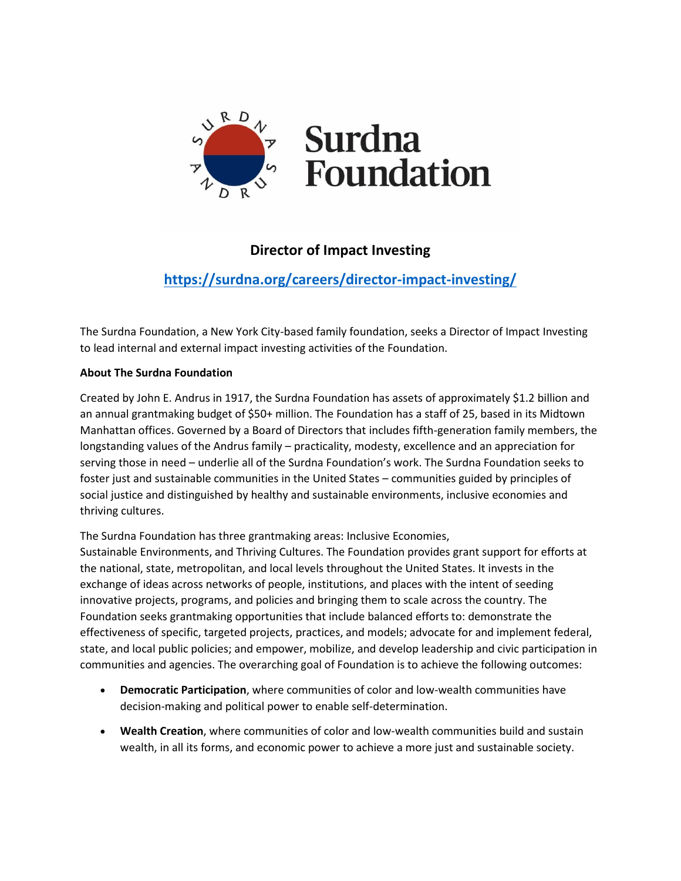

## **Director of Impact Investing**

# **<https://surdna.org/careers/director-impact-investing/>**

The Surdna Foundation, a New York City-based family foundation, seeks a Director of Impact Investing to lead internal and external impact investing activities of the Foundation.

## **About The Surdna Foundation**

Created by John E. Andrus in 1917, the Surdna Foundation has assets of approximately \$1.2 billion and an annual grantmaking budget of \$50+ million. The Foundation has a staff of 25, based in its Midtown Manhattan offices. Governed by a Board of Directors that includes fifth-generation family members, the longstanding values of the Andrus family – practicality, modesty, excellence and an appreciation for serving those in need – underlie all of the Surdna Foundation's work. The Surdna Foundation seeks to foster just and sustainable communities in the United States – communities guided by principles of social justice and distinguished by healthy and sustainable environments, inclusive economies and thriving cultures.

The Surdna Foundation has three grantmaking areas: Inclusive Economies,

Sustainable Environments, and Thriving Cultures. The Foundation provides grant support for efforts at the national, state, metropolitan, and local levels throughout the United States. It invests in the exchange of ideas across networks of people, institutions, and places with the intent of seeding innovative projects, programs, and policies and bringing them to scale across the country. The Foundation seeks grantmaking opportunities that include balanced efforts to: demonstrate the effectiveness of specific, targeted projects, practices, and models; advocate for and implement federal, state, and local public policies; and empower, mobilize, and develop leadership and civic participation in communities and agencies. The overarching goal of Foundation is to achieve the following outcomes:

- **Democratic Participation**, where communities of color and low-wealth communities have decision-making and political power to enable self-determination.
- **Wealth Creation**, where communities of color and low-wealth communities build and sustain wealth, in all its forms, and economic power to achieve a more just and sustainable society.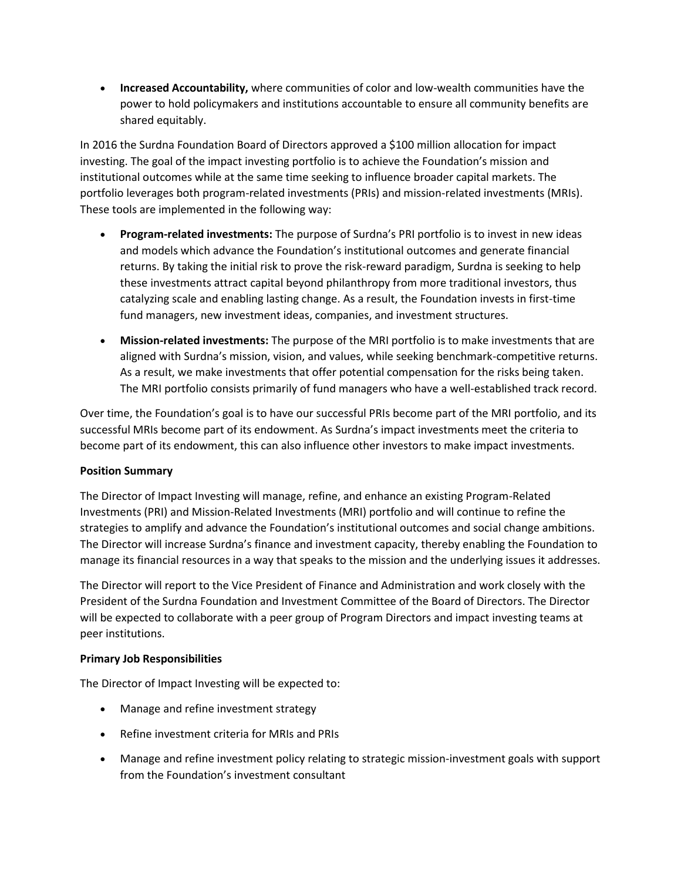• **Increased Accountability,** where communities of color and low-wealth communities have the power to hold policymakers and institutions accountable to ensure all community benefits are shared equitably.

In 2016 the Surdna Foundation Board of Directors approved a \$100 million allocation for impact investing. The goal of the impact investing portfolio is to achieve the Foundation's mission and institutional outcomes while at the same time seeking to influence broader capital markets. The portfolio leverages both program-related investments (PRIs) and mission-related investments (MRIs). These tools are implemented in the following way:

- **Program-related investments:** The purpose of Surdna's PRI portfolio is to invest in new ideas and models which advance the Foundation's institutional outcomes and generate financial returns. By taking the initial risk to prove the risk-reward paradigm, Surdna is seeking to help these investments attract capital beyond philanthropy from more traditional investors, thus catalyzing scale and enabling lasting change. As a result, the Foundation invests in first-time fund managers, new investment ideas, companies, and investment structures.
- **Mission-related investments:** The purpose of the MRI portfolio is to make investments that are aligned with Surdna's mission, vision, and values, while seeking benchmark-competitive returns. As a result, we make investments that offer potential compensation for the risks being taken. The MRI portfolio consists primarily of fund managers who have a well-established track record.

Over time, the Foundation's goal is to have our successful PRIs become part of the MRI portfolio, and its successful MRIs become part of its endowment. As Surdna's impact investments meet the criteria to become part of its endowment, this can also influence other investors to make impact investments.

## **Position Summary**

The Director of Impact Investing will manage, refine, and enhance an existing Program-Related Investments (PRI) and Mission-Related Investments (MRI) portfolio and will continue to refine the strategies to amplify and advance the Foundation's institutional outcomes and social change ambitions. The Director will increase Surdna's finance and investment capacity, thereby enabling the Foundation to manage its financial resources in a way that speaks to the mission and the underlying issues it addresses.

The Director will report to the Vice President of Finance and Administration and work closely with the President of the Surdna Foundation and Investment Committee of the Board of Directors. The Director will be expected to collaborate with a peer group of Program Directors and impact investing teams at peer institutions.

#### **Primary Job Responsibilities**

The Director of Impact Investing will be expected to:

- Manage and refine investment strategy
- Refine investment criteria for MRIs and PRIs
- Manage and refine investment policy relating to strategic mission-investment goals with support from the Foundation's investment consultant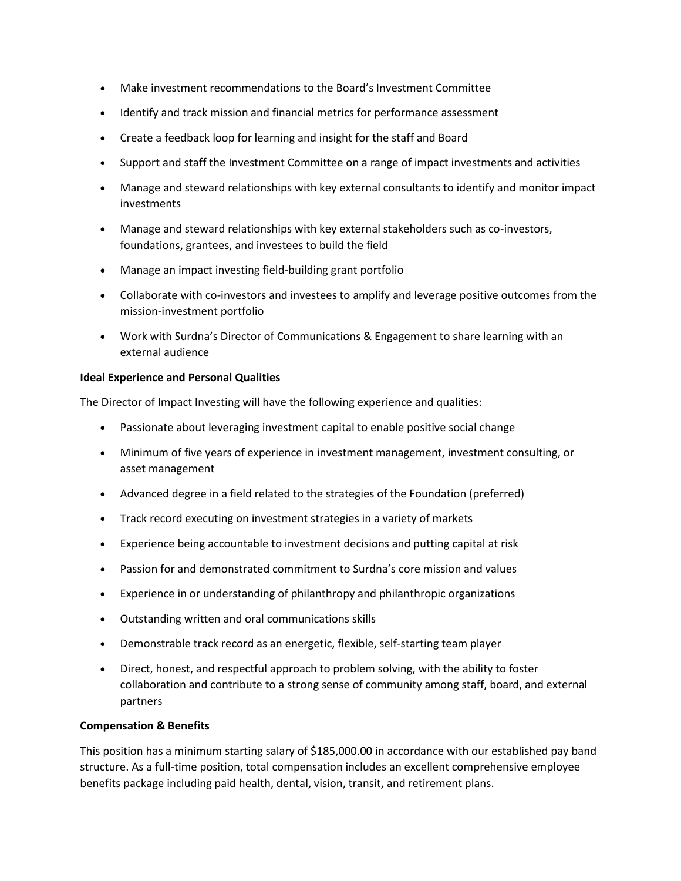- Make investment recommendations to the Board's Investment Committee
- Identify and track mission and financial metrics for performance assessment
- Create a feedback loop for learning and insight for the staff and Board
- Support and staff the Investment Committee on a range of impact investments and activities
- Manage and steward relationships with key external consultants to identify and monitor impact investments
- Manage and steward relationships with key external stakeholders such as co-investors, foundations, grantees, and investees to build the field
- Manage an impact investing field-building grant portfolio
- Collaborate with co-investors and investees to amplify and leverage positive outcomes from the mission-investment portfolio
- Work with Surdna's Director of Communications & Engagement to share learning with an external audience

#### **Ideal Experience and Personal Qualities**

The Director of Impact Investing will have the following experience and qualities:

- Passionate about leveraging investment capital to enable positive social change
- Minimum of five years of experience in investment management, investment consulting, or asset management
- Advanced degree in a field related to the strategies of the Foundation (preferred)
- Track record executing on investment strategies in a variety of markets
- Experience being accountable to investment decisions and putting capital at risk
- Passion for and demonstrated commitment to Surdna's core mission and values
- Experience in or understanding of philanthropy and philanthropic organizations
- Outstanding written and oral communications skills
- Demonstrable track record as an energetic, flexible, self-starting team player
- Direct, honest, and respectful approach to problem solving, with the ability to foster collaboration and contribute to a strong sense of community among staff, board, and external partners

#### **Compensation & Benefits**

This position has a minimum starting salary of \$185,000.00 in accordance with our established pay band structure. As a full-time position, total compensation includes an excellent comprehensive employee benefits package including paid health, dental, vision, transit, and retirement plans.